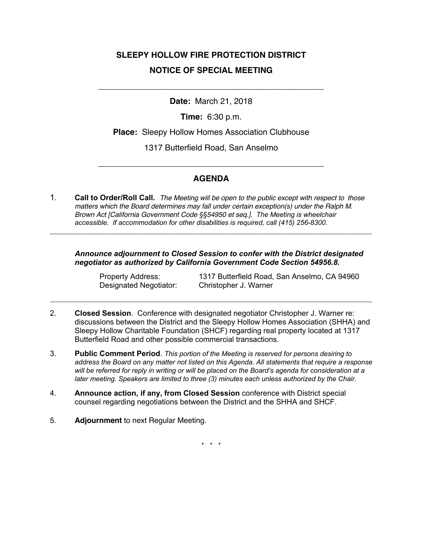## **SLEEPY HOLLOW FIRE PROTECTION DISTRICT NOTICE OF SPECIAL MEETING**

**Date:** March 21, 2018

\_\_\_\_\_\_\_\_\_\_\_\_\_\_\_\_\_\_\_\_\_\_\_\_\_\_\_\_\_\_\_\_\_\_\_\_\_\_\_\_\_\_\_\_\_\_\_\_\_

**Time:** 6:30 p.m.

**Place:** Sleepy Hollow Homes Association Clubhouse

1317 Butterfield Road, San Anselmo

## **AGENDA**

\_\_\_\_\_\_\_\_\_\_\_\_\_\_\_\_\_\_\_\_\_\_\_\_\_\_\_\_\_\_\_\_\_\_\_\_\_\_\_\_\_\_\_\_\_\_\_\_\_

1. **Call to Order/Roll Call.** *The Meeting will be open to the public except with respect to those matters which the Board determines may fall under certain exception(s) under the Ralph M. Brown Act [California Government Code §§54950 et seq.]. The Meeting is wheelchair accessible. If accommodation for other disabilities is required, call (415) 256-8300.*

**\_\_\_\_\_\_\_\_\_\_\_\_\_\_\_\_\_\_\_\_\_\_\_\_\_\_\_\_\_\_\_\_\_\_\_\_\_\_\_\_\_\_\_\_\_\_\_\_\_\_\_\_\_\_\_\_\_\_\_\_\_\_\_\_\_\_\_\_\_\_\_\_\_\_\_\_\_\_\_\_\_\_\_\_**

*Announce adjournment to Closed Session to confer with the District designated negotiator as authorized by California Government Code Section 54956.8.*

Designated Negotiator: Christopher J. Warner

Property Address: 1317 Butterfield Road, San Anselmo, CA 94960

2. **Closed Session**. Conference with designated negotiator Christopher J. Warner re: discussions between the District and the Sleepy Hollow Homes Association (SHHA) and Sleepy Hollow Charitable Foundation (SHCF) regarding real property located at 1317 Butterfield Road and other possible commercial transactions.

**\_\_\_\_\_\_\_\_\_\_\_\_\_\_\_\_\_\_\_\_\_\_\_\_\_\_\_\_\_\_\_\_\_\_\_\_\_\_\_\_\_\_\_\_\_\_\_\_\_\_\_\_\_\_\_\_\_\_\_\_\_\_\_\_\_\_\_\_\_\_\_\_\_\_\_\_\_\_\_\_\_\_\_\_**

- 3. **Public Comment Period**. *This portion of the Meeting is reserved for persons desiring to address the Board on any matter not listed on this Agenda. All statements that require a response will be referred for reply in writing or will be placed on the Board's agenda for consideration at a later meeting. Speakers are limited to three (3) minutes each unless authorized by the Chair.*
- 4. **Announce action, if any, from Closed Session** conference with District special counsel regarding negotiations between the District and the SHHA and SHCF.
- 5. **Adjournment** to next Regular Meeting.

\* \* \*